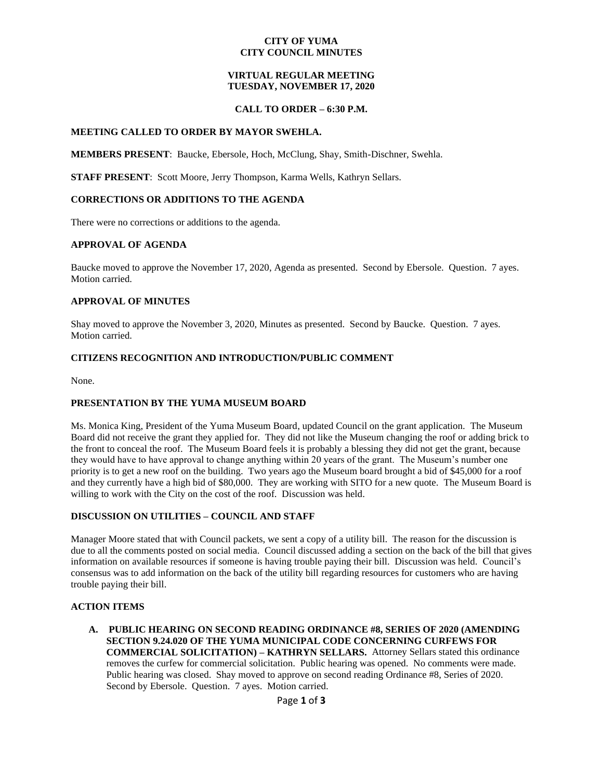### **CITY OF YUMA CITY COUNCIL MINUTES**

## **VIRTUAL REGULAR MEETING TUESDAY, NOVEMBER 17, 2020**

### **CALL TO ORDER – 6:30 P.M.**

### **MEETING CALLED TO ORDER BY MAYOR SWEHLA.**

**MEMBERS PRESENT**: Baucke, Ebersole, Hoch, McClung, Shay, Smith-Dischner, Swehla.

**STAFF PRESENT**: Scott Moore, Jerry Thompson, Karma Wells, Kathryn Sellars.

### **CORRECTIONS OR ADDITIONS TO THE AGENDA**

There were no corrections or additions to the agenda.

### **APPROVAL OF AGENDA**

Baucke moved to approve the November 17, 2020, Agenda as presented. Second by Ebersole. Question. 7 ayes. Motion carried.

### **APPROVAL OF MINUTES**

Shay moved to approve the November 3, 2020, Minutes as presented. Second by Baucke. Question. 7 ayes. Motion carried.

### **CITIZENS RECOGNITION AND INTRODUCTION/PUBLIC COMMENT**

None.

### **PRESENTATION BY THE YUMA MUSEUM BOARD**

Ms. Monica King, President of the Yuma Museum Board, updated Council on the grant application. The Museum Board did not receive the grant they applied for. They did not like the Museum changing the roof or adding brick to the front to conceal the roof. The Museum Board feels it is probably a blessing they did not get the grant, because they would have to have approval to change anything within 20 years of the grant. The Museum's number one priority is to get a new roof on the building. Two years ago the Museum board brought a bid of \$45,000 for a roof and they currently have a high bid of \$80,000. They are working with SITO for a new quote. The Museum Board is willing to work with the City on the cost of the roof. Discussion was held.

### **DISCUSSION ON UTILITIES – COUNCIL AND STAFF**

Manager Moore stated that with Council packets, we sent a copy of a utility bill. The reason for the discussion is due to all the comments posted on social media. Council discussed adding a section on the back of the bill that gives information on available resources if someone is having trouble paying their bill. Discussion was held. Council's consensus was to add information on the back of the utility bill regarding resources for customers who are having trouble paying their bill.

### **ACTION ITEMS**

**A. PUBLIC HEARING ON SECOND READING ORDINANCE #8, SERIES OF 2020 (AMENDING SECTION 9.24.020 OF THE YUMA MUNICIPAL CODE CONCERNING CURFEWS FOR COMMERCIAL SOLICITATION) – KATHRYN SELLARS.** Attorney Sellars stated this ordinance removes the curfew for commercial solicitation. Public hearing was opened. No comments were made. Public hearing was closed. Shay moved to approve on second reading Ordinance #8, Series of 2020. Second by Ebersole. Question. 7 ayes. Motion carried.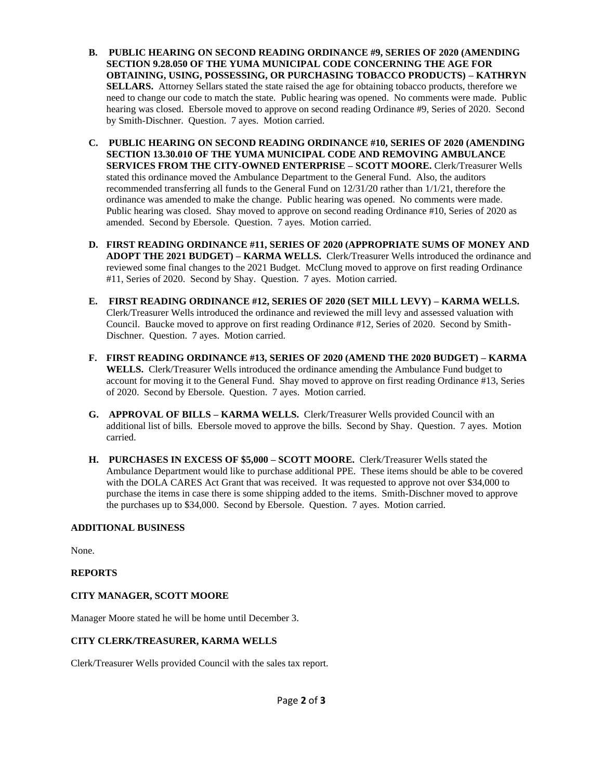- **B. PUBLIC HEARING ON SECOND READING ORDINANCE #9, SERIES OF 2020 (AMENDING SECTION 9.28.050 OF THE YUMA MUNICIPAL CODE CONCERNING THE AGE FOR OBTAINING, USING, POSSESSING, OR PURCHASING TOBACCO PRODUCTS) – KATHRYN SELLARS.** Attorney Sellars stated the state raised the age for obtaining tobacco products, therefore we need to change our code to match the state. Public hearing was opened. No comments were made. Public hearing was closed. Ebersole moved to approve on second reading Ordinance #9, Series of 2020. Second by Smith-Dischner. Question. 7 ayes. Motion carried.
- **C. PUBLIC HEARING ON SECOND READING ORDINANCE #10, SERIES OF 2020 (AMENDING SECTION 13.30.010 OF THE YUMA MUNICIPAL CODE AND REMOVING AMBULANCE SERVICES FROM THE CITY-OWNED ENTERPRISE – SCOTT MOORE.** Clerk/Treasurer Wells stated this ordinance moved the Ambulance Department to the General Fund. Also, the auditors recommended transferring all funds to the General Fund on 12/31/20 rather than 1/1/21, therefore the ordinance was amended to make the change. Public hearing was opened. No comments were made. Public hearing was closed. Shay moved to approve on second reading Ordinance #10, Series of 2020 as amended. Second by Ebersole. Question. 7 ayes. Motion carried.
- **D. FIRST READING ORDINANCE #11, SERIES OF 2020 (APPROPRIATE SUMS OF MONEY AND ADOPT THE 2021 BUDGET) – KARMA WELLS.** Clerk/Treasurer Wells introduced the ordinance and reviewed some final changes to the 2021 Budget. McClung moved to approve on first reading Ordinance #11, Series of 2020. Second by Shay. Question. 7 ayes. Motion carried.
- **E. FIRST READING ORDINANCE #12, SERIES OF 2020 (SET MILL LEVY) – KARMA WELLS.**  Clerk/Treasurer Wells introduced the ordinance and reviewed the mill levy and assessed valuation with Council. Baucke moved to approve on first reading Ordinance #12, Series of 2020. Second by Smith-Dischner. Question. 7 ayes. Motion carried.
- **F. FIRST READING ORDINANCE #13, SERIES OF 2020 (AMEND THE 2020 BUDGET) – KARMA WELLS.** Clerk/Treasurer Wells introduced the ordinance amending the Ambulance Fund budget to account for moving it to the General Fund. Shay moved to approve on first reading Ordinance #13, Series of 2020. Second by Ebersole. Question. 7 ayes. Motion carried.
- **G. APPROVAL OF BILLS – KARMA WELLS.** Clerk/Treasurer Wells provided Council with an additional list of bills. Ebersole moved to approve the bills. Second by Shay. Question. 7 ayes. Motion carried.
- **H. PURCHASES IN EXCESS OF \$5,000 – SCOTT MOORE.** Clerk/Treasurer Wells stated the Ambulance Department would like to purchase additional PPE. These items should be able to be covered with the DOLA CARES Act Grant that was received. It was requested to approve not over \$34,000 to purchase the items in case there is some shipping added to the items. Smith-Dischner moved to approve the purchases up to \$34,000. Second by Ebersole. Question. 7 ayes. Motion carried.

# **ADDITIONAL BUSINESS**

None.

# **REPORTS**

# **CITY MANAGER, SCOTT MOORE**

Manager Moore stated he will be home until December 3.

# **CITY CLERK/TREASURER, KARMA WELLS**

Clerk/Treasurer Wells provided Council with the sales tax report.